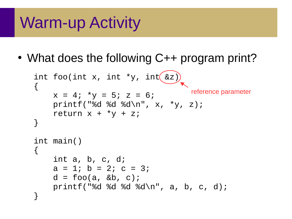# Warm-up Activity

• What does the following C++ program print?

```
int foo(int x, int xy, int (xz))
\{x = 4; xy = 5; z = 6;
    printf("%d %d %d\n", x, *y, z);
    return x + *y + z;
}
int main()
\{ int a, b, c, d;
    a = 1; b = 2; c = 3;
    d = foo(a, \&b, \ c); printf("%d %d %d %d\n", a, b, c, d);
}
                                    reference parameter
```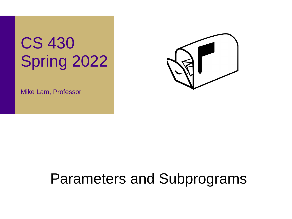# CS 430 Spring 2022

Mike Lam, Professor



## Parameters and Subprograms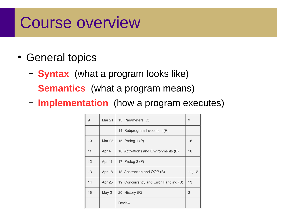## Course overview

- General topics
	- **Syntax** (what a program looks like)
	- **Semantics** (what a program means)
	- **Implementation** (how a program executes)

| 9  | <b>Mar 21</b> | 13: Parameters (B)                     | 9      |
|----|---------------|----------------------------------------|--------|
|    |               | 14: Subprogram Invocation (R)          |        |
| 10 | <b>Mar 28</b> | 15: Prolog 1 (P)                       | 16     |
| 11 | Apr 4         | 16: Activations and Environments (B)   | 10     |
| 12 | Apr 11        | 17: Prolog 2 (P)                       |        |
| 13 | Apr 18        | 18: Abstraction and OOP (B)            | 11, 12 |
| 14 | Apr 25        | 19: Concurrency and Error Handling (B) | 13     |
| 15 | May 2         | 20: History (R)                        | 2      |
|    |               | Review                                 |        |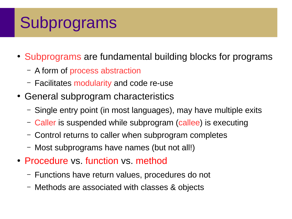# **Subprograms**

- Subprograms are fundamental building blocks for programs
	- A form of process abstraction
	- Facilitates modularity and code re-use
- General subprogram characteristics
	- Single entry point (in most languages), may have multiple exits
	- Caller is suspended while subprogram (callee) is executing
	- Control returns to caller when subprogram completes
	- Most subprograms have names (but not all!)
- Procedure vs. function vs. method
	- Functions have return values, procedures do not
	- Methods are associated with classes & objects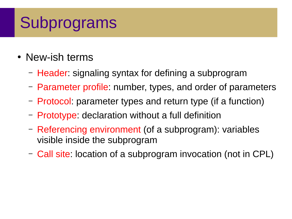# **Subprograms**

- New-ish terms
	- Header: signaling syntax for defining a subprogram
	- Parameter profile: number, types, and order of parameters
	- Protocol: parameter types and return type (if a function)
	- Prototype: declaration without a full definition
	- Referencing environment (of a subprogram): variables visible inside the subprogram
	- Call site: location of a subprogram invocation (not in CPL)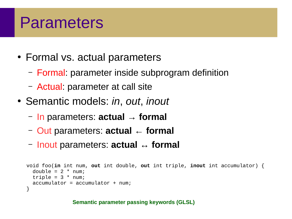## Parameters

- Formal vs. actual parameters
	- Formal: parameter inside subprogram definition
	- Actual: parameter at call site
- Semantic models: *in*, *out*, *inout*
	- In parameters: **actual → formal**
	- Out parameters: **actual ← formal**
	- Inout parameters: **actual ↔ formal**

```
void foo(in int num, out int double, out int triple, inout int accumulator) {
  double = 2 * num;triple = 3 * num;accumulator = accumulation + num;}
```
**Semantic parameter passing keywords (GLSL)**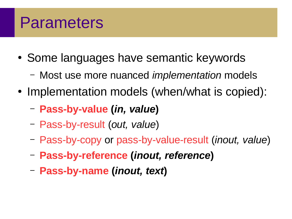#### Parameters

- Some languages have semantic keywords
	- Most use more nuanced *implementation* models
- Implementation models (when/what is copied):
	- **Pass-by-value (***in, value***)**
	- Pass-by-result (*out, value*)
	- Pass-by-copy or pass-by-value-result (*inout, value*)
	- **Pass-by-reference (***inout, reference***)**
	- **Pass-by-name (***inout, text***)**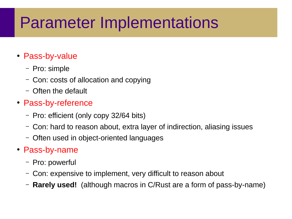# Parameter Implementations

#### • Pass-by-value

- Pro: simple
- Con: costs of allocation and copying
- Often the default
- Pass-by-reference
	- Pro: efficient (only copy 32/64 bits)
	- Con: hard to reason about, extra layer of indirection, aliasing issues
	- Often used in object-oriented languages

#### • Pass-by-name

- Pro: powerful
- Con: expensive to implement, very difficult to reason about
- **Rarely used!** (although macros in C/Rust are a form of pass-by-name)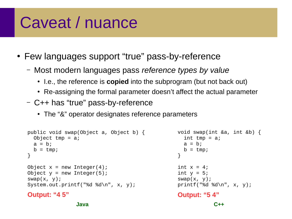# Caveat / nuance

- Few languages support "true" pass-by-reference
	- Most modern languages pass *reference types by value*
		- I.e., the reference is **copied** into the subprogram (but not back out)
		- Re-assigning the formal parameter doesn't affect the actual parameter
	- C++ has "true" pass-by-reference
		- The "&" operator designates reference parameters

```
public void swap(Object a, Object b) {
 Object tmp = a;a = b;
 b = tmp}
Object x = new Integer(4);
Object y = new Integer(5);
swap(x, y);
System.out.printf("%d %d\n", x, y);
              Java
                                            void swap(int &a, int &b) {
                                               int tmp = a;
                                              a = b;
                                              b = tmp;}
                                             int x = 4;
                                             int y = 5;
                                             swap(x, y);
                                             printf("%d %d\n", x, y);
                                                        C++
Output: "4 5" Output: "5 4"
```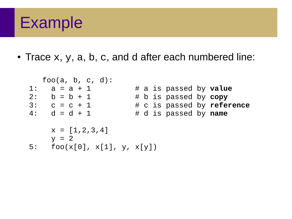## Example

• Trace x, y, a, b, c, and d after each numbered line:

| $foo(a, b, c, d)$ : | 1:                         | a = a + 1                  | # a is passed by value |
|---------------------|----------------------------|----------------------------|------------------------|
| 2:                  | b = b + 1                  | # b is passed by copy      |                        |
| 3:                  | c = c + 1                  | # c is passed by reference |                        |
| 4:                  | d = d + 1                  | # d is passed by name      |                        |
| $x = [1, 2, 3, 4]$  | $y = 2$                    |                            |                        |
| 5:                  | $foo(x[0], x[1], y, x[y])$ |                            |                        |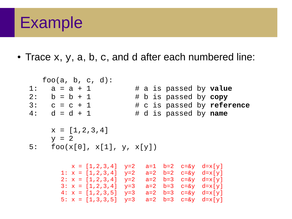## Example

• Trace x, y, a, b, c, and d after each numbered line:

```
 foo(a, b, c, d):
1: a = a + 1 # a is passed by value
2: b = b + 1 # b is passed by copy<br>3: c = c + 1 # c is passed by refe
3: c = c + 1 # c is passed by reference<br>4: d = d + 1 # d is passed by name
                            4: d = d + 1 # d is passed by name
      x = [1, 2, 3, 4]y = 25: foo(x[0], x[1], y, x[y])x = [1, 2, 3, 4] y=2 a=1 b=2 c=8y d=x[y]1: x = [1, 2, 3, 4] y=2 a=2 b=2 c=8y d=x[y]2: x = [1, 2, 3, 4] y=2 a=2 b=3 c=8y d=x[y]3: x = \begin{bmatrix} 1, 2, 3, 4 \end{bmatrix} y=3 a=2 b=3 c=&y d=x\begin{bmatrix} y \end{bmatrix}4: x = \begin{bmatrix} 1, 2, 3, 5 \end{bmatrix} y=3 a=2 b=3 c=&y d=x[y]
          5: x = [1, 3, 3, 5] y=3 a=2 b=3 c=8y d=x[y]
```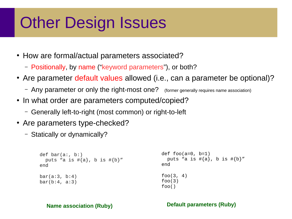# **Other Design Issues**

- How are formal/actual parameters associated?
	- Positionally, by name ("keyword parameters"), or both?
- Are parameter default values allowed (i.e., can a parameter be optional)?
	- Any parameter or only the right-most one? (former generally requires name association)
- In what order are parameters computed/copied?
	- Generally left-to-right (most common) or right-to-left
- Are parameters type-checked?
	- Statically or dynamically?

```
def foo(a=0, b=1)puts 4a is \#\{a\}, b is \#\{b\}"
                                                end
                                               foo(3, 4)
                                                foo(3)foo()
def bar(a:, b:)
  puts "a is \#\{a\}, b is \#\{b\}"
end
bar(a:3, b:4)
bar(b:4, a:3)
```
**Name association (Ruby) Default parameters (Ruby)**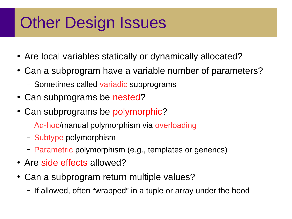# **Other Design Issues**

- Are local variables statically or dynamically allocated?
- Can a subprogram have a variable number of parameters?
	- Sometimes called variadic subprograms
- Can subprograms be nested?
- Can subprograms be polymorphic?
	- Ad-hoc/manual polymorphism via overloading
	- Subtype polymorphism
	- Parametric polymorphism (e.g., templates or generics)
- Are side effects allowed?
- Can a subprogram return multiple values?
	- If allowed, often "wrapped" in a tuple or array under the hood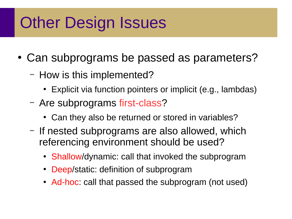# **Other Design Issues**

- Can subprograms be passed as parameters?
	- How is this implemented?
		- Explicit via function pointers or implicit (e.g., lambdas)
	- Are subprograms first-class?
		- Can they also be returned or stored in variables?
	- If nested subprograms are also allowed, which referencing environment should be used?
		- Shallow/dynamic: call that invoked the subprogram
		- Deep/static: definition of subprogram
		- Ad-hoc: call that passed the subprogram (not used)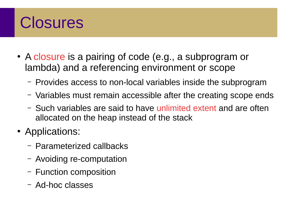# Closures

- A closure is a pairing of code (e.g., a subprogram or lambda) and a referencing environment or scope
	- Provides access to non-local variables inside the subprogram
	- Variables must remain accessible after the creating scope ends
	- Such variables are said to have unlimited extent and are often allocated on the heap instead of the stack
- Applications:
	- Parameterized callbacks
	- Avoiding re-computation
	- Function composition
	- Ad-hoc classes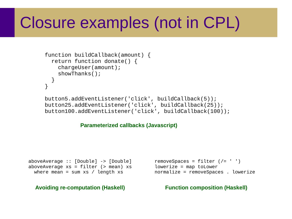# Closure examples (not in CPL)

```
function buildCallback(amount) {
   return function donate() {
     chargeUser(amount);
     showThanks();
 }
}
```

```
button5.addEventListener('click', buildCallback(5));
button25.addEventListener('click', buildCallback(25));
button100.addEventListener('click', buildCallback(100));
```
**Parameterized callbacks (Javascript)**

```
aboveAverage :: [Double] -> [Double]
aboveAverage xs = filter (> mean) xswhere mean = sum xs / lenath xs
```
**Avoiding re-computation (Haskell)**

removeSpaces = filter  $($  /=  $'$   $')$ lowerize = map toLower normalize = removeSpaces . lowerize

**Function composition (Haskell)**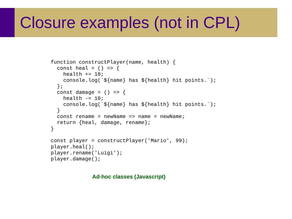# Closure examples (not in CPL)

```
function constructPlayer(name, health) {
  const heal = () => \{health += 10;
     console.log(`${name} has ${health} hit points.`);
  };
  const damage = () => \{health - = 10;
     console.log(`${name} has ${health} hit points.`);
   }
 const rename = newName => name = newName;
  return {heal, damage, rename};
}
const player = constructPlayer('Mario', 99);
player.heal();
player.rename('Luigi');
player.damage();
```
#### **Ad-hoc classes (Javascript)**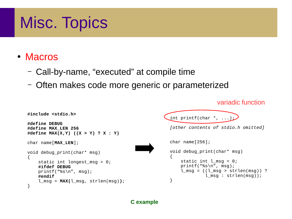# Misc. Topics

#### • Macros

- Call-by-name, "executed" at compile time
- Often makes code more generic or parameterized

```
#include <stdio.h>
#define DEBUG
#define MAX_LEN 256
#define MAX(X,Y) ((X > Y) ? X : Y)
char name[MAX_LEN];
void debug_print(char* msg)
\{ static int longest_msg = 0;
     #ifdef DEBUG
     printf("%s\n", msg);
     #endif
     l_msg = MAX(l_msg, strlen(msg));
}
                                                           int printf(char \alpha, ...);
                                                           [other contents of stdio.h omitted]
                                                           char name[256];
                                                           void debug_print(char* msg)
                                                           \left\{ \right.static int l msg = 0;
                                                                printf("%s\n", msg);
                                                               l_{\text{msg}} = ((l_{\text{msg}} > strlen(msg)) ?
                                                                          l msq : strlen(msq));
                                                           }
                                                                              variadic function
```